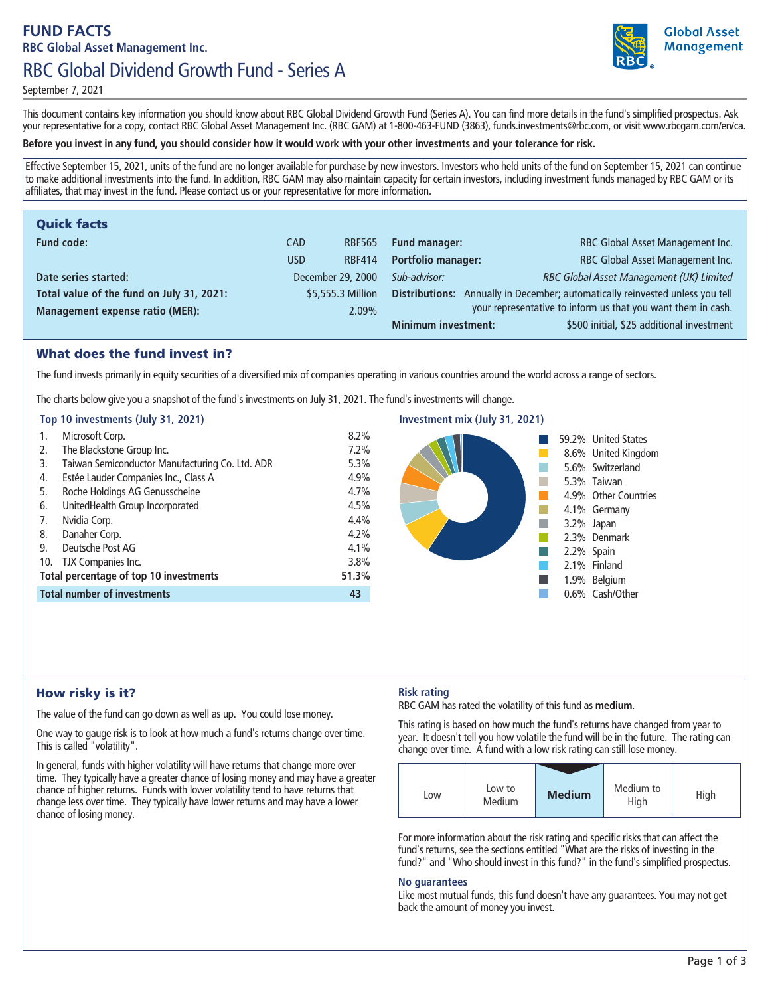# **FUND FACTS RBC Global Asset Management Inc. RBC Global Dividend Growth Fund - Series A**



**September 7, 2021**

**This document contains key information you should know about RBC Global Dividend Growth Fund (Series A). You can find more details in the fund's simplified prospectus. Ask your representative for a copy, contact RBC Global Asset Management Inc. (RBC GAM) at 1-800-463-FUND (3863), funds.investments@rbc.com, or visit www.rbcgam.com/en/ca.**

## **Before you invest in any fund, you should consider how it would work with your other investments and your tolerance for risk.**

**Effective September 15, 2021, units of the fund are no longer available for purchase by new investors. Investors who held units of the fund on September 15, 2021 can continue to make additional investments into the fund. In addition, RBC GAM may also maintain capacity for certain investors, including investment funds managed by RBC GAM or its affiliates, that may invest in the fund. Please contact us or your representative for more information.**

| <b>Quick facts</b>                        |      |                   |                            |                                                                               |
|-------------------------------------------|------|-------------------|----------------------------|-------------------------------------------------------------------------------|
| <b>Fund code:</b>                         | CAD. | <b>RBF565</b>     | <b>Fund manager:</b>       | RBC Global Asset Management Inc.                                              |
|                                           | USD  | <b>RBF414</b>     | <b>Portfolio manager:</b>  | RBC Global Asset Management Inc.                                              |
| Date series started:                      |      | December 29, 2000 | Sub-advisor:               | RBC Global Asset Management (UK) Limited                                      |
| Total value of the fund on July 31, 2021: |      | \$5,555.3 Million |                            | Distributions: Annually in December; automatically reinvested unless you tell |
| <b>Management expense ratio (MER):</b>    |      | 2.09%             |                            | your representative to inform us that you want them in cash.                  |
|                                           |      |                   | <b>Minimum investment:</b> | \$500 initial, \$25 additional investment                                     |

## What does the fund invest in?

The fund invests primarily in equity securities of a diversified mix of companies operating in various countries around the world across a range of sectors.

**The charts below give you a snapshot of the fund's investments on July 31, 2021. The fund's investments will change.**

## **Top 10 investments (July 31, 2021)**

| 1. | Microsoft Corp.                                 | 8.2%  |  |
|----|-------------------------------------------------|-------|--|
| 2. | The Blackstone Group Inc.                       | 7.2%  |  |
| 3. | Taiwan Semiconductor Manufacturing Co. Ltd. ADR | 5.3%  |  |
| 4. | Estée Lauder Companies Inc., Class A            | 4.9%  |  |
| 5. | Roche Holdings AG Genusscheine                  | 4.7%  |  |
| 6. | UnitedHealth Group Incorporated                 | 4.5%  |  |
| 7. | Nvidia Corp.                                    | 4.4%  |  |
| 8. | Danaher Corp.                                   | 4.2%  |  |
| 9. | Deutsche Post AG                                | 4.1%  |  |
|    | 10. TJX Companies Inc.                          | 3.8%  |  |
|    | <b>Total percentage of top 10 investments</b>   | 51.3% |  |
|    | <b>Total number of investments</b>              | 43    |  |



**Investment mix (July 31, 2021)**

# How risky is it?

**The value of the fund can go down as well as up. You could lose money.**

**One way to gauge risk is to look at how much a fund's returns change over time. This is called "volatility".**

**In general, funds with higher volatility will have returns that change more over time. They typically have a greater chance of losing money and may have a greater chance of higher returns. Funds with lower volatility tend to have returns that change less over time. They typically have lower returns and may have a lower chance of losing money.**

# **Risk rating**

**RBC GAM has rated the volatility of this fund as medium.**

**This rating is based on how much the fund's returns have changed from year to year. It doesn't tell you how volatile the fund will be in the future. The rating can change over time. A fund with a low risk rating can still lose money.**

| Low | Low to<br>Medium | <b>Medium</b> | Medium to<br>High | High |
|-----|------------------|---------------|-------------------|------|

**For more information about the risk rating and specific risks that can affect the fund's returns, see the sections entitled "What are the risks of investing in the**  fund?" and "Who should invest in this fund?" in the fund's simplified prospectus.

#### **No guarantees**

**Like most mutual funds, this fund doesn't have any guarantees. You may not get back the amount of money you invest.**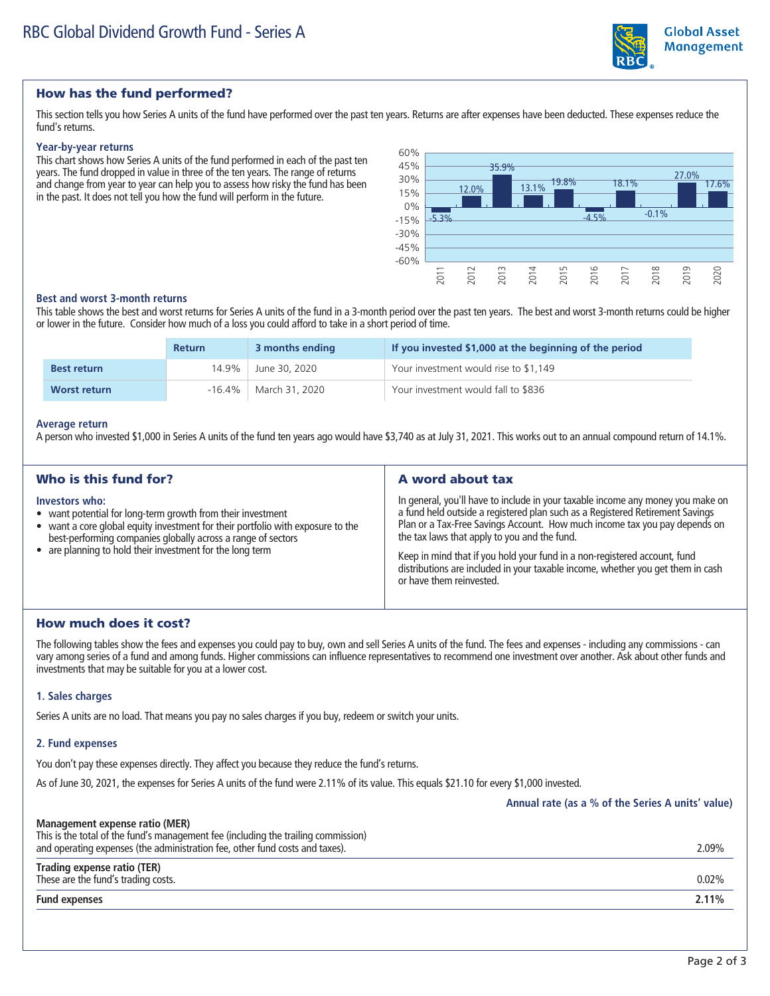

# **Global Asset Management**

# How has the fund performed?

**This section tells you how Series A units of the fund have performed over the past ten years. Returns are after expenses have been deducted. These expenses reduce the fund's returns.**

#### **Year-by-year returns**

**This chart shows how Series A units of the fund performed in each of the past ten years. The fund dropped in value in three of the ten years. The range of returns and change from year to year can help you to assess how risky the fund has been in the past. It does not tell you how the fund will perform in the future.**



#### **Best and worst 3-month returns**

**This table shows the best and worst returns for Series A units of the fund in a 3-month period over the past ten years. The best and worst 3-month returns could be higher or lower in the future. Consider how much of a loss you could afford to take in a short period of time.**

|                     | <b>Return</b> | 3 months ending | If you invested \$1,000 at the beginning of the period |
|---------------------|---------------|-----------------|--------------------------------------------------------|
| <b>Best return</b>  | 14.9%         | June 30, 2020   | Your investment would rise to \$1,149                  |
| <b>Worst return</b> | $-16.4\%$     | March 31, 2020  | Your investment would fall to \$836                    |

#### **Average return**

**A person who invested \$1,000 in Series A units of the fund ten years ago would have \$3,740 as at July 31, 2021. This works out to an annual compound return of 14.1%.**

| Who is this fund for?                                                                                                                                                                                                                                                                         | A word about tax                                                                                                                                                                                                                                                                                                                                                                                                                                                                           |
|-----------------------------------------------------------------------------------------------------------------------------------------------------------------------------------------------------------------------------------------------------------------------------------------------|--------------------------------------------------------------------------------------------------------------------------------------------------------------------------------------------------------------------------------------------------------------------------------------------------------------------------------------------------------------------------------------------------------------------------------------------------------------------------------------------|
| Investors who:<br>• want potential for long-term growth from their investment<br>• want a core global equity investment for their portfolio with exposure to the<br>best-performing companies globally across a range of sectors<br>• are planning to hold their investment for the long term | In general, you'll have to include in your taxable income any money you make on<br>a fund held outside a registered plan such as a Registered Retirement Savings<br>Plan or a Tax-Free Savings Account. How much income tax you pay depends on<br>the tax laws that apply to you and the fund.<br>Keep in mind that if you hold your fund in a non-registered account, fund<br>distributions are included in your taxable income, whether you get them in cash<br>or have them reinvested. |

# How much does it cost?

**The following tables show the fees and expenses you could pay to buy, own and sell Series A units of the fund. The fees and expenses - including any commissions - can vary among series of a fund and among funds. Higher commissions can influence representatives to recommend one investment over another. Ask about other funds and investments that may be suitable for you at a lower cost.**

## **1. Sales charges**

**Series A units are no load. That means you pay no sales charges if you buy, redeem or switch your units.**

#### **2. Fund expenses**

**You don't pay these expenses directly. They affect you because they reduce the fund's returns.**

**As of June 30, 2021, the expenses for Series A units of the fund were 2.11% of its value. This equals \$21.10 for every \$1,000 invested.**

**Annual rate (as a % of the Series A units' value)**

| Management expense ratio (MER)<br>This is the total of the fund's management fee (including the trailing commission)<br>and operating expenses (the administration fee, other fund costs and taxes). | 2.09%    |
|------------------------------------------------------------------------------------------------------------------------------------------------------------------------------------------------------|----------|
| Trading expense ratio (TER)<br>These are the fund's trading costs.                                                                                                                                   | $0.02\%$ |
| <b>Fund expenses</b>                                                                                                                                                                                 | 2.11%    |